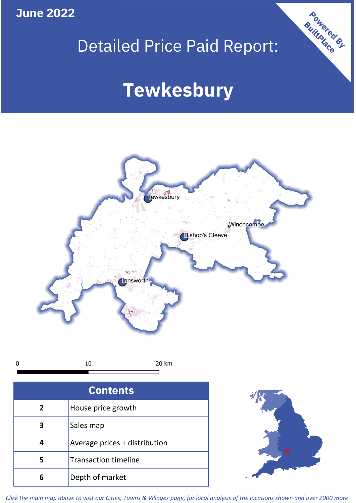**June 2022**

## Detailed Price Paid Report:

# **Tewkesbury**



| <b>Contents</b> |                               |  |  |
|-----------------|-------------------------------|--|--|
| $\overline{2}$  | House price growth            |  |  |
|                 | Sales map                     |  |  |
|                 | Average prices + distribution |  |  |
| 5               | <b>Transaction timeline</b>   |  |  |
| ĥ               | Depth of market               |  |  |



Powered By

*Click the main map above to visit our Cities, Towns & Villages page, for local analysis of the locations shown and over 2000 more*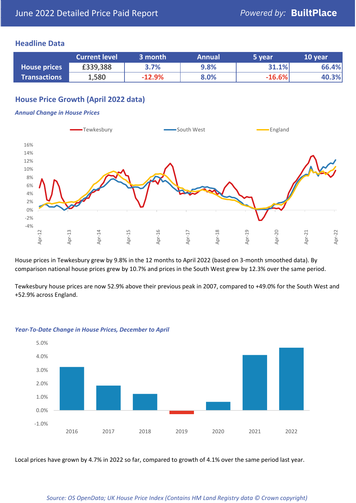## **Headline Data**

|                     | <b>Current level</b> | 3 month  | <b>Annual</b> | 5 year   | 10 year |
|---------------------|----------------------|----------|---------------|----------|---------|
| <b>House prices</b> | £339,388             | 3.7%     | 9.8%          | 31.1%    | 66.4%   |
| <b>Transactions</b> | 1,580                | $-12.9%$ | 8.0%          | $-16.6%$ | 40.3%   |

## **House Price Growth (April 2022 data)**

#### *Annual Change in House Prices*



House prices in Tewkesbury grew by 9.8% in the 12 months to April 2022 (based on 3-month smoothed data). By comparison national house prices grew by 10.7% and prices in the South West grew by 12.3% over the same period.

Tewkesbury house prices are now 52.9% above their previous peak in 2007, compared to +49.0% for the South West and +52.9% across England.



#### *Year-To-Date Change in House Prices, December to April*

Local prices have grown by 4.7% in 2022 so far, compared to growth of 4.1% over the same period last year.

#### *Source: OS OpenData; UK House Price Index (Contains HM Land Registry data © Crown copyright)*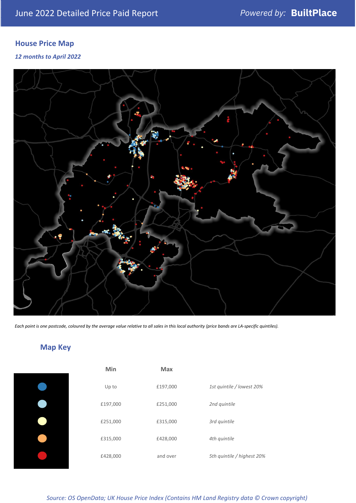## **House Price Map**

*12 months to April 2022*



*Each point is one postcode, coloured by the average value relative to all sales in this local authority (price bands are LA-specific quintiles).*

## **Map Key**

| Min      | <b>Max</b> |                            |
|----------|------------|----------------------------|
| Up to    | £197,000   | 1st quintile / lowest 20%  |
| £197,000 | £251,000   | 2nd quintile               |
| £251,000 | £315,000   | 3rd quintile               |
| £315,000 | £428,000   | 4th quintile               |
| £428,000 | and over   | 5th quintile / highest 20% |
|          |            |                            |

*Source: OS OpenData; UK House Price Index (Contains HM Land Registry data © Crown copyright)*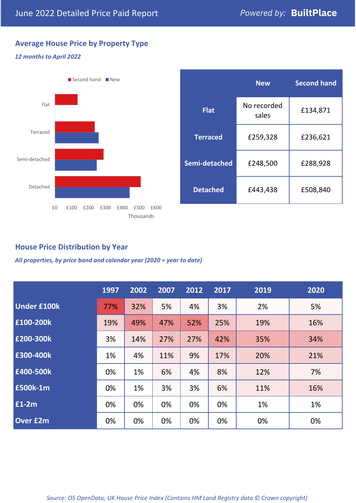## **Average House Price by Property Type**

#### *12 months to April 2022*



|                 | <b>New</b>           | <b>Second hand</b> |  |  |
|-----------------|----------------------|--------------------|--|--|
| <b>Flat</b>     | No recorded<br>sales | £134,871           |  |  |
| <b>Terraced</b> | £259,328             | £236,621           |  |  |
| Semi-detached   | £248,500             | £288,928           |  |  |
| <b>Detached</b> | £443,438             | £508,840           |  |  |

## **House Price Distribution by Year**

*All properties, by price band and calendar year (2020 = year to date)*

|                    | 1997 | 2002 | 2007 | 2012 | 2017 | 2019 | 2020 |
|--------------------|------|------|------|------|------|------|------|
| <b>Under £100k</b> | 77%  | 32%  | 5%   | 4%   | 3%   | 2%   | 5%   |
| £100-200k          | 19%  | 49%  | 47%  | 52%  | 25%  | 19%  | 16%  |
| E200-300k          | 3%   | 14%  | 27%  | 27%  | 42%  | 35%  | 34%  |
| £300-400k          | 1%   | 4%   | 11%  | 9%   | 17%  | 20%  | 21%  |
| £400-500k          | 0%   | 1%   | 6%   | 4%   | 8%   | 12%  | 7%   |
| £500k-1m           | 0%   | 1%   | 3%   | 3%   | 6%   | 11%  | 16%  |
| £1-2m              | 0%   | 0%   | 0%   | 0%   | 0%   | 1%   | 1%   |
| <b>Over £2m</b>    | 0%   | 0%   | 0%   | 0%   | 0%   | 0%   | 0%   |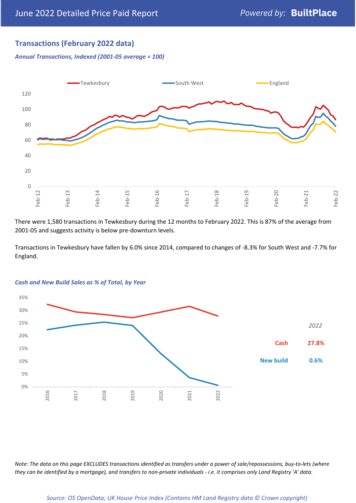## **Transactions (February 2022 data)**

*Annual Transactions, Indexed (2001-05 average = 100)*



There were 1,580 transactions in Tewkesbury during the 12 months to February 2022. This is 87% of the average from 2001-05 and suggests activity is below pre-downturn levels.

Transactions in Tewkesbury have fallen by 6.0% since 2014, compared to changes of -8.3% for South West and -7.7% for England.



#### *Cash and New Build Sales as % of Total, by Year*

*Note: The data on this page EXCLUDES transactions identified as transfers under a power of sale/repossessions, buy-to-lets (where they can be identified by a mortgage), and transfers to non-private individuals - i.e. it comprises only Land Registry 'A' data.*